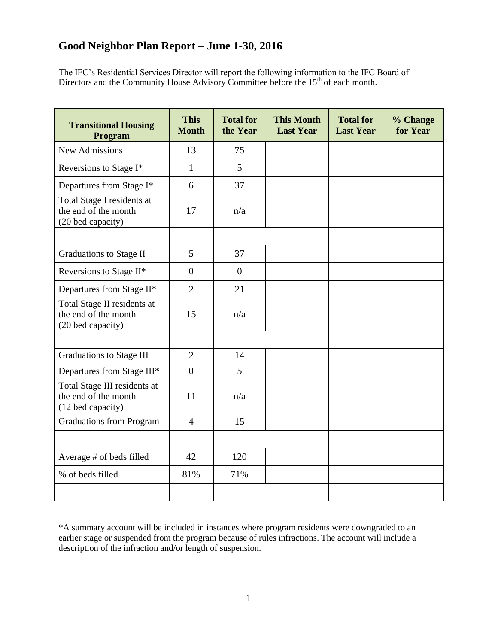The IFC's Residential Services Director will report the following information to the IFC Board of Directors and the Community House Advisory Committee before the  $15<sup>th</sup>$  of each month.

| <b>Transitional Housing</b><br>Program                                    | <b>This</b><br><b>Month</b> | <b>Total for</b><br>the Year | <b>This Month</b><br><b>Last Year</b> | <b>Total for</b><br><b>Last Year</b> | % Change<br>for Year |
|---------------------------------------------------------------------------|-----------------------------|------------------------------|---------------------------------------|--------------------------------------|----------------------|
| <b>New Admissions</b>                                                     | 13                          | 75                           |                                       |                                      |                      |
| Reversions to Stage I*                                                    | $\mathbf{1}$                | 5                            |                                       |                                      |                      |
| Departures from Stage I*                                                  | 6                           | 37                           |                                       |                                      |                      |
| Total Stage I residents at<br>the end of the month<br>(20 bed capacity)   | 17                          | n/a                          |                                       |                                      |                      |
|                                                                           |                             |                              |                                       |                                      |                      |
| <b>Graduations to Stage II</b>                                            | 5                           | 37                           |                                       |                                      |                      |
| Reversions to Stage II*                                                   | $\overline{0}$              | $\theta$                     |                                       |                                      |                      |
| Departures from Stage II*                                                 | $\overline{2}$              | 21                           |                                       |                                      |                      |
| Total Stage II residents at<br>the end of the month<br>(20 bed capacity)  | 15                          | n/a                          |                                       |                                      |                      |
|                                                                           |                             |                              |                                       |                                      |                      |
| <b>Graduations to Stage III</b>                                           | $\overline{2}$              | 14                           |                                       |                                      |                      |
| Departures from Stage III*                                                | $\overline{0}$              | 5                            |                                       |                                      |                      |
| Total Stage III residents at<br>the end of the month<br>(12 bed capacity) | 11                          | n/a                          |                                       |                                      |                      |
| <b>Graduations from Program</b>                                           | $\overline{4}$              | 15                           |                                       |                                      |                      |
|                                                                           |                             |                              |                                       |                                      |                      |
| Average # of beds filled                                                  | 42                          | 120                          |                                       |                                      |                      |
| % of beds filled                                                          | 81%                         | 71%                          |                                       |                                      |                      |
|                                                                           |                             |                              |                                       |                                      |                      |

\*A summary account will be included in instances where program residents were downgraded to an earlier stage or suspended from the program because of rules infractions. The account will include a description of the infraction and/or length of suspension.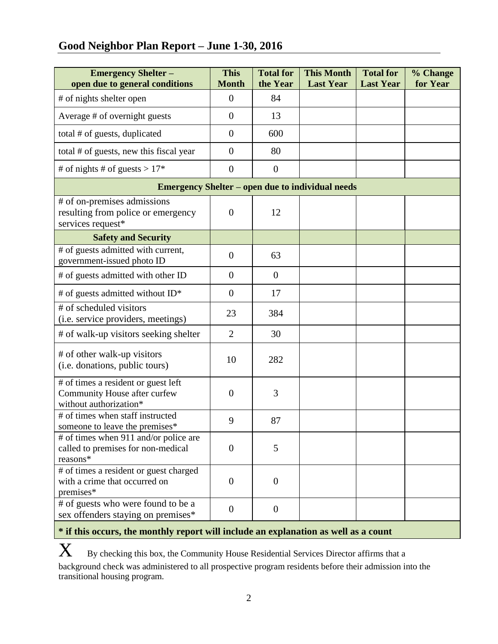# **Good Neighbor Plan Report – June 1-30, 2016**

| <b>Emergency Shelter -</b><br>open due to general conditions                                  | <b>This</b><br><b>Month</b> | <b>Total for</b><br>the Year | <b>This Month</b><br><b>Last Year</b> | <b>Total for</b><br><b>Last Year</b> | % Change<br>for Year |  |  |  |
|-----------------------------------------------------------------------------------------------|-----------------------------|------------------------------|---------------------------------------|--------------------------------------|----------------------|--|--|--|
| # of nights shelter open                                                                      | $\overline{0}$              | 84                           |                                       |                                      |                      |  |  |  |
| Average # of overnight guests                                                                 | $\overline{0}$              | 13                           |                                       |                                      |                      |  |  |  |
| total # of guests, duplicated                                                                 | $\overline{0}$              | 600                          |                                       |                                      |                      |  |  |  |
| total # of guests, new this fiscal year                                                       | $\overline{0}$              | 80                           |                                       |                                      |                      |  |  |  |
| # of nights # of guests > $17*$                                                               | $\overline{0}$              | $\overline{0}$               |                                       |                                      |                      |  |  |  |
| <b>Emergency Shelter – open due to individual needs</b>                                       |                             |                              |                                       |                                      |                      |  |  |  |
| # of on-premises admissions<br>resulting from police or emergency<br>services request*        | $\overline{0}$              | 12                           |                                       |                                      |                      |  |  |  |
| <b>Safety and Security</b>                                                                    |                             |                              |                                       |                                      |                      |  |  |  |
| # of guests admitted with current,<br>government-issued photo ID                              | $\theta$                    | 63                           |                                       |                                      |                      |  |  |  |
| # of guests admitted with other ID                                                            | $\overline{0}$              | $\overline{0}$               |                                       |                                      |                      |  |  |  |
| # of guests admitted without ID*                                                              | $\overline{0}$              | 17                           |                                       |                                      |                      |  |  |  |
| # of scheduled visitors<br>(i.e. service providers, meetings)                                 | 23                          | 384                          |                                       |                                      |                      |  |  |  |
| # of walk-up visitors seeking shelter                                                         | $\overline{2}$              | 30                           |                                       |                                      |                      |  |  |  |
| # of other walk-up visitors<br>(i.e. donations, public tours)                                 | 10                          | 282                          |                                       |                                      |                      |  |  |  |
| # of times a resident or guest left<br>Community House after curfew<br>without authorization* | $\overline{0}$              | 3                            |                                       |                                      |                      |  |  |  |
| # of times when staff instructed<br>someone to leave the premises*                            | 9                           | 87                           |                                       |                                      |                      |  |  |  |
| # of times when 911 and/or police are<br>called to premises for non-medical<br>reasons*       | $\boldsymbol{0}$            | 5                            |                                       |                                      |                      |  |  |  |
| # of times a resident or guest charged<br>with a crime that occurred on<br>premises*          | $\overline{0}$              | $\theta$                     |                                       |                                      |                      |  |  |  |
| # of guests who were found to be a<br>sex offenders staying on premises*                      | $\mathbf{0}$                | $\overline{0}$               |                                       |                                      |                      |  |  |  |

## **\* if this occurs, the monthly report will include an explanation as well as a count**

 $X$  By checking this box, the Community House Residential Services Director affirms that a background check was administered to all prospective program residents before their admission into the transitional housing program.